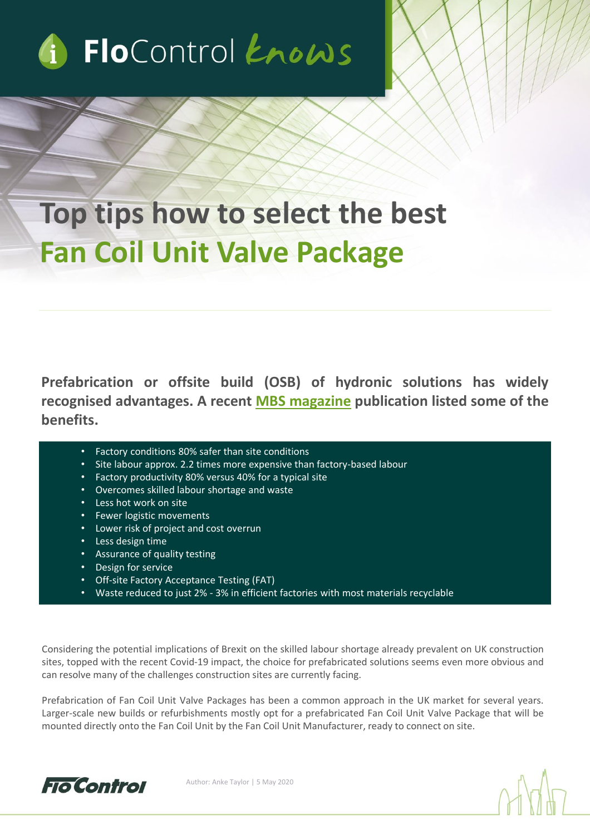

# **Top tips how to select the best Fan Coil Unit Valve Package**

**Prefabrication or offsite build (OSB) of hydronic solutions has widely recognised advantages. A recent MBS [magazine](https://modbs.co.uk/news/fullstory.php/aid/19201/Neat_solution_.html) publication listed some of the benefits.**

- Factory conditions 80% safer than site conditions
- Site labour approx. 2.2 times more expensive than factory-based labour
- Factory productivity 80% versus 40% for a typical site
- Overcomes skilled labour shortage and waste
- Less hot work on site
- Fewer logistic movements
- Lower risk of project and cost overrun
- Less design time
- Assurance of quality testing
- Design for service
- Off-site Factory Acceptance Testing (FAT)
- Waste reduced to just 2% 3% in efficient factories with most materials recyclable

Considering the potential implications of Brexit on the skilled labour shortage already prevalent on UK construction sites, topped with the recent Covid-19 impact, the choice for prefabricated solutions seems even more obvious and can resolve many of the challenges construction sites are currently facing.

Prefabrication of Fan Coil Unit Valve Packages has been a common approach in the UK market for several years. Larger-scale new builds or refurbishments mostly opt for a prefabricated Fan Coil Unit Valve Package that will be mounted directly onto the Fan Coil Unit by the Fan Coil Unit Manufacturer, ready to connect on site.

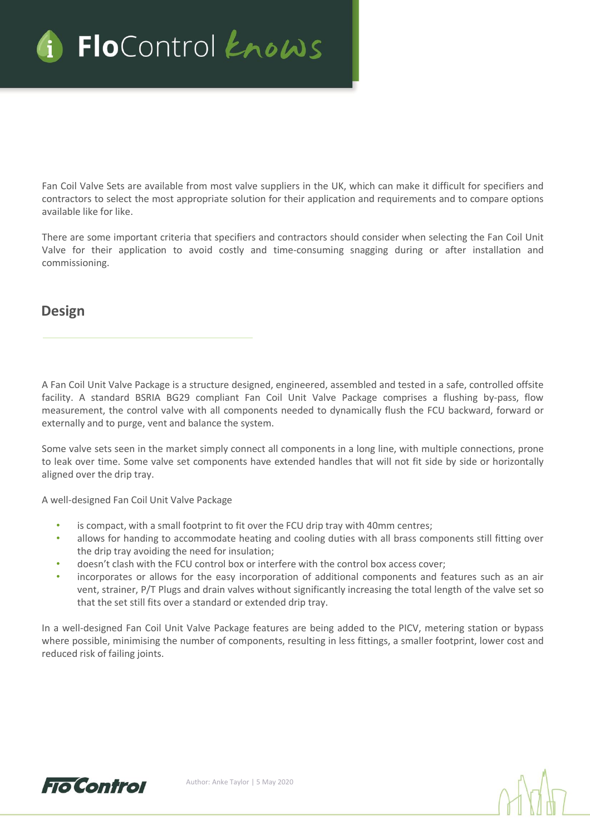

Fan Coil Valve Sets are available from most valve suppliers in the UK, which can make it difficult for specifiers and contractors to select the most appropriate solution for their application and requirements and to compare options available like for like.

There are some important criteria that specifiers and contractors should consider when selecting the Fan Coil Unit Valve for their application to avoid costly and time-consuming snagging during or after installation and commissioning.

#### **Design**

A Fan Coil Unit Valve Package is a structure designed, engineered, assembled and tested in a safe, controlled offsite facility. A standard BSRIA BG29 compliant Fan Coil Unit Valve Package comprises a flushing by-pass, flow measurement, the control valve with all components needed to dynamically flush the FCU backward, forward or externally and to purge, vent and balance the system.

Some valve sets seen in the market simply connect all components in a long line, with multiple connections, prone to leak over time. Some valve set components have extended handles that will not fit side by side or horizontally aligned over the drip tray.

A well-designed Fan Coil Unit Valve Package

- is compact, with a small footprint to fit over the FCU drip tray with 40mm centres;
- allows for handing to accommodate heating and cooling duties with all brass components still fitting over the drip tray avoiding the need for insulation;
- doesn't clash with the FCU control box or interfere with the control box access cover;
- incorporates or allows for the easy incorporation of additional components and features such as an air vent, strainer, P/T Plugs and drain valves without significantly increasing the total length of the valve set so that the set still fits over a standard or extended drip tray.

In a well-designed Fan Coil Unit Valve Package features are being added to the PICV, metering station or bypass where possible, minimising the number of components, resulting in less fittings, a smaller footprint, lower cost and reduced risk of failing joints.

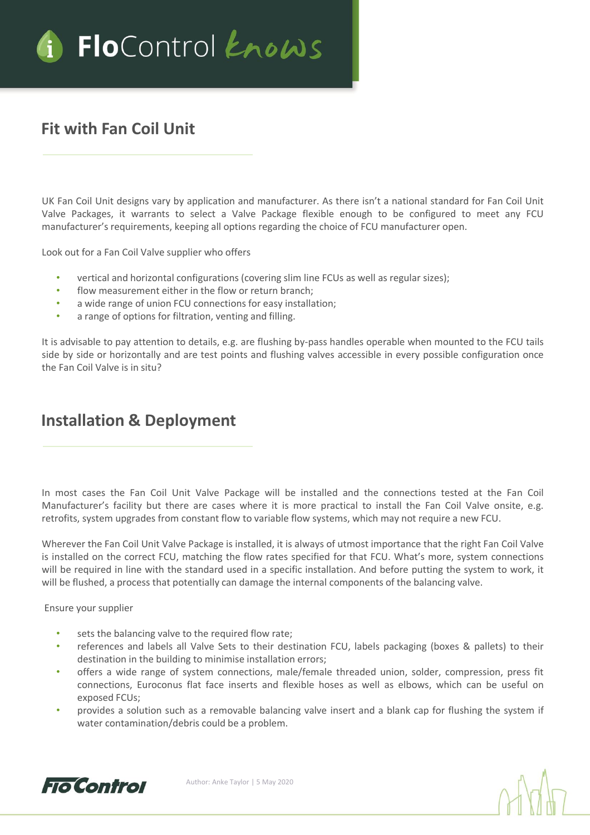

# **Fit with Fan Coil Unit**

UK Fan Coil Unit designs vary by application and manufacturer. As there isn't a national standard for Fan Coil Unit Valve Packages, it warrants to select a Valve Package flexible enough to be configured to meet any FCU manufacturer's requirements, keeping all options regarding the choice of FCU manufacturer open.

Look out for a Fan Coil Valve supplier who offers

- vertical and horizontal configurations (covering slim line FCUs as well as regular sizes);
- flow measurement either in the flow or return branch;
- a wide range of union FCU connections for easy installation;
- a range of options for filtration, venting and filling.

It is advisable to pay attention to details, e.g. are flushing by-pass handles operable when mounted to the FCU tails side by side or horizontally and are test points and flushing valves accessible in every possible configuration once the Fan Coil Valve is in situ?

## **Installation & Deployment**

In most cases the Fan Coil Unit Valve Package will be installed and the connections tested at the Fan Coil Manufacturer's facility but there are cases where it is more practical to install the Fan Coil Valve onsite, e.g. retrofits, system upgrades from constant flow to variable flow systems, which may not require a new FCU.

Wherever the Fan Coil Unit Valve Package is installed, it is always of utmost importance that the right Fan Coil Valve is installed on the correct FCU, matching the flow rates specified for that FCU. What's more, system connections will be required in line with the standard used in a specific installation. And before putting the system to work, it will be flushed, a process that potentially can damage the internal components of the balancing valve.

Ensure your supplier

- sets the balancing valve to the required flow rate;
- references and labels all Valve Sets to their destination FCU, labels packaging (boxes & pallets) to their destination in the building to minimise installation errors;
- offers a wide range of system connections, male/female threaded union, solder, compression, press fit connections, Euroconus flat face inserts and flexible hoses as well as elbows, which can be useful on exposed FCUs;
- provides a solution such as a removable balancing valve insert and a blank cap for flushing the system if water contamination/debris could be a problem.